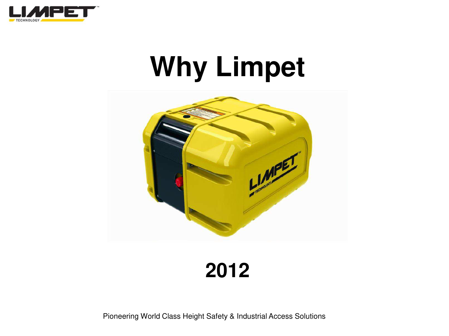

# **Why Limpet**



**2012**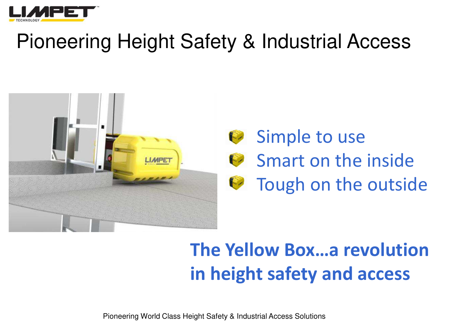

### Pioneering Height Safety & Industrial Access





### **The Yellow Box…a revolution in height safety and access**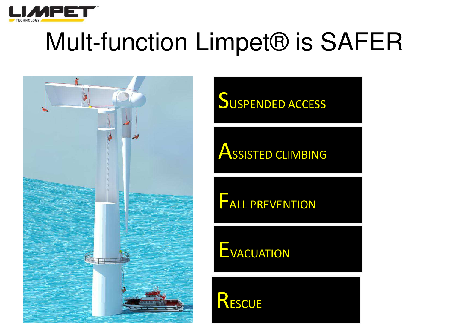

# Mult-function Limpet® is SAFER



**SUSPENDED ACCESS** 

**ASSISTED CLIMBING** 

**FALL PREVENTION** 

EVACUATION

RESCUE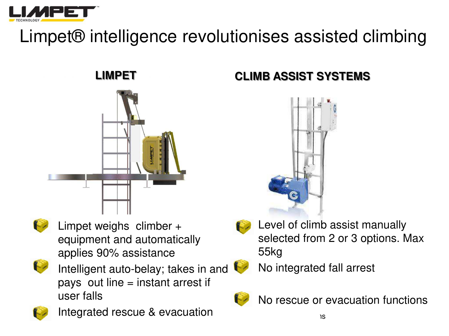

### Limpet® intelligence revolutionises assisted climbing





Limpet weighs climber + equipment and automatically applies 90% assistance



Intelligent auto-belay; takes in and pays out line = instant arrest if user falls



 $\mathbb{Z}$  Integrated rescue & evacuation

#### **LIMPET CLIMB ASSIST SYSTEMS**





Level of climb assist manually selected from 2 or 3 options. Max 55kg

• No integrated fall arrest



• No rescue or evacuation functions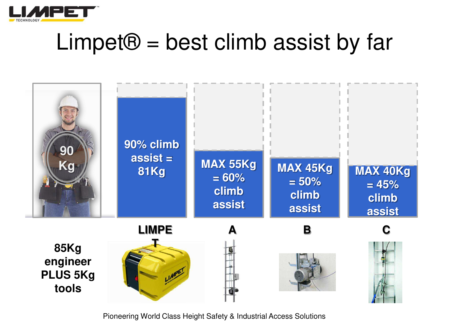

### $Limpet@ = best$  climb assist by far

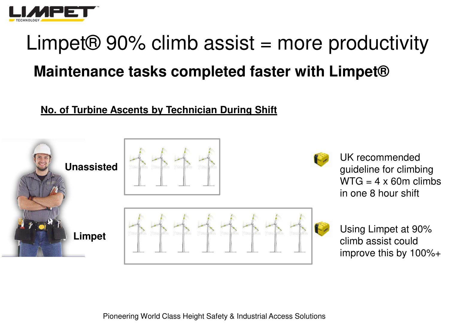

### Limpet $\Theta$  90% climb assist = more productivity **Maintenance tasks completed faster with Limpet®**

#### **No. of Turbine Ascents by Technician During Shift**



• Using Limpet at 90% climb assist could improve this by 100%+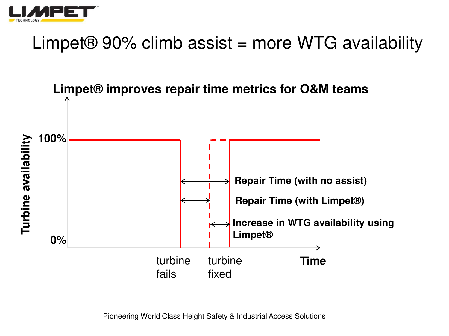

### Limpet $\Theta$  90% climb assist = more WTG availability

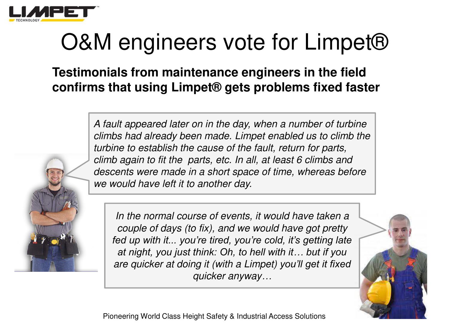

# O&M engineers vote for Limpet<sup>®</sup>

**Testimonials from maintenance engineers in the field confirms that using Limpet® gets problems fixed faster** 

> *A fault appeared later on in the day, when a number of turbine climbs had already been made. Limpet enabled us to climb the turbine to establish the cause of the fault, return for parts, climb again to fit the parts, etc. In all, at least 6 climbs and descents were made in a short space of time, whereas before we would have left it to another day.*



*In the normal course of events, it would have taken a couple of days (to fix), and we would have got pretty fed up with it... you're tired, you're cold, it's getting late at night, you just think: Oh, to hell with it… but if you are quicker at doing it (with a Limpet) you'll get it fixed quicker anyway…*

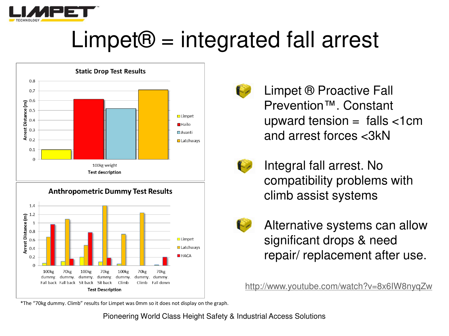

# $Limpet@ = integrated fall arrest$





Limpet ® Proactive Fall Prevention<sup>™</sup>, Constant upward tension =  $falls < 1cm$ and arrest forces <3kN



Integral fall arrest. No compatibility problems with climb assist systems



Alternative systems can allow significant drops & need repair/replacement after use.

http://www.youtube.com/watch?v=8x6IW8nyqZw

\*The "70kg dummy. Climb" results for Limpet was 0mm so it does not display on the graph.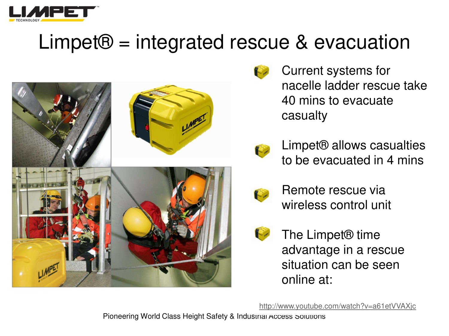

### Limpet® = integrated rescue & evacuation



• Current systems for nacelle ladder rescue take 40 mins to evacuate casualty

• Limpet® allows casualties to be evacuated in 4 mins



• Remote rescue via wireless control unit

- 
- The Limpet<sup>®</sup> time advantage in a rescue situation can be seen online at:

<http://www.youtube.com/watch?v=a61etVVAXjc>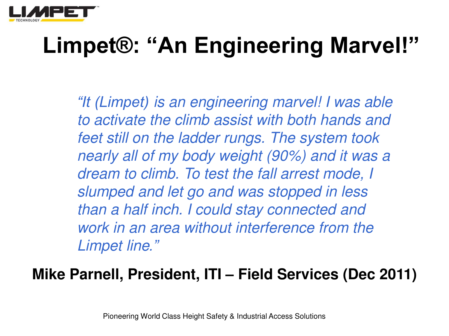

# **Limpet®: "An Engineering Marvel!"**

*"It (Limpet) is an engineering marvel! I was able to activate the climb assist with both hands and feet still on the ladder rungs. The system took nearly all of my body weight (90%) and it was a dream to climb. To test the fall arrest mode, I slumped and let go and was stopped in less than a half inch. I could stay connected and work in an area without interference from the Limpet line."*

#### **Mike Parnell, President, ITI – Field Services (Dec 2011)**